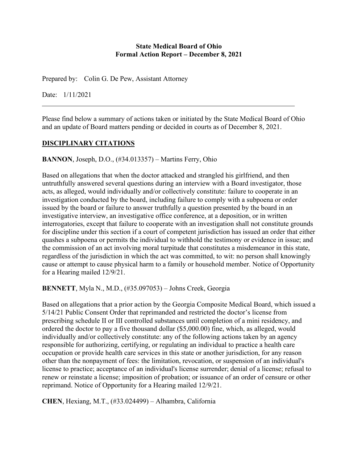#### **State Medical Board of Ohio Formal Action Report – December 8, 2021**

Prepared by: Colin G. De Pew, Assistant Attorney

Date: 1/11/2021

Please find below a summary of actions taken or initiated by the State Medical Board of Ohio and an update of Board matters pending or decided in courts as of December 8, 2021.

### **DISCIPLINARY CITATIONS**

**BANNON**, Joseph, D.O., (#34.013357) – Martins Ferry, Ohio

Based on allegations that when the doctor attacked and strangled his girlfriend, and then untruthfully answered several questions during an interview with a Board investigator, those acts, as alleged, would individually and/or collectively constitute: failure to cooperate in an investigation conducted by the board, including failure to comply with a subpoena or order issued by the board or failure to answer truthfully a question presented by the board in an investigative interview, an investigative office conference, at a deposition, or in written interrogatories, except that failure to cooperate with an investigation shall not constitute grounds for discipline under this section if a court of competent jurisdiction has issued an order that either quashes a subpoena or permits the individual to withhold the testimony or evidence in issue; and the commission of an act involving moral turpitude that constitutes a misdemeanor in this state, regardless of the jurisdiction in which the act was committed, to wit: no person shall knowingly cause or attempt to cause physical harm to a family or household member. Notice of Opportunity for a Hearing mailed 12/9/21.

### **BENNETT**, Myla N., M.D., (#35.097053) – Johns Creek, Georgia

Based on allegations that a prior action by the Georgia Composite Medical Board, which issued a 5/14/21 Public Consent Order that reprimanded and restricted the doctor's license from prescribing schedule II or III controlled substances until completion of a mini residency, and ordered the doctor to pay a five thousand dollar (\$5,000.00) fine, which, as alleged, would individually and/or collectively constitute: any of the following actions taken by an agency responsible for authorizing, certifying, or regulating an individual to practice a health care occupation or provide health care services in this state or another jurisdiction, for any reason other than the nonpayment of fees: the limitation, revocation, or suspension of an individual's license to practice; acceptance of an individual's license surrender; denial of a license; refusal to renew or reinstate a license; imposition of probation; or issuance of an order of censure or other reprimand. Notice of Opportunity for a Hearing mailed 12/9/21.

**CHEN**, Hexiang, M.T., (#33.024499) – Alhambra, California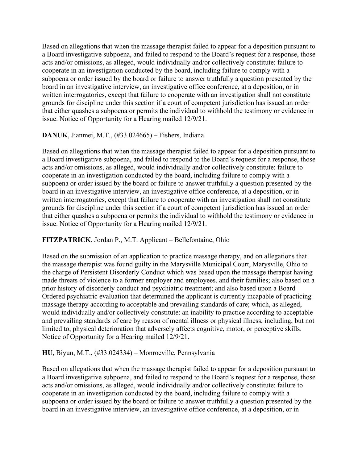Based on allegations that when the massage therapist failed to appear for a deposition pursuant to a Board investigative subpoena, and failed to respond to the Board's request for a response, those acts and/or omissions, as alleged, would individually and/or collectively constitute: failure to cooperate in an investigation conducted by the board, including failure to comply with a subpoena or order issued by the board or failure to answer truthfully a question presented by the board in an investigative interview, an investigative office conference, at a deposition, or in written interrogatories, except that failure to cooperate with an investigation shall not constitute grounds for discipline under this section if a court of competent jurisdiction has issued an order that either quashes a subpoena or permits the individual to withhold the testimony or evidence in issue. Notice of Opportunity for a Hearing mailed 12/9/21.

### **DANUK**, Jianmei, M.T., (#33.024665) – Fishers, Indiana

Based on allegations that when the massage therapist failed to appear for a deposition pursuant to a Board investigative subpoena, and failed to respond to the Board's request for a response, those acts and/or omissions, as alleged, would individually and/or collectively constitute: failure to cooperate in an investigation conducted by the board, including failure to comply with a subpoena or order issued by the board or failure to answer truthfully a question presented by the board in an investigative interview, an investigative office conference, at a deposition, or in written interrogatories, except that failure to cooperate with an investigation shall not constitute grounds for discipline under this section if a court of competent jurisdiction has issued an order that either quashes a subpoena or permits the individual to withhold the testimony or evidence in issue. Notice of Opportunity for a Hearing mailed 12/9/21.

### **FITZPATRICK**, Jordan P., M.T. Applicant – Bellefontaine, Ohio

Based on the submission of an application to practice massage therapy, and on allegations that the massage therapist was found guilty in the Marysville Municipal Court, Marysville, Ohio to the charge of Persistent Disorderly Conduct which was based upon the massage therapist having made threats of violence to a former employer and employees, and their families; also based on a prior history of disorderly conduct and psychiatric treatment; and also based upon a Board Ordered psychiatric evaluation that determined the applicant is currently incapable of practicing massage therapy according to acceptable and prevailing standards of care; which, as alleged, would individually and/or collectively constitute: an inability to practice according to acceptable and prevailing standards of care by reason of mental illness or physical illness, including, but not limited to, physical deterioration that adversely affects cognitive, motor, or perceptive skills. Notice of Opportunity for a Hearing mailed 12/9/21.

### **HU**, Biyun, M.T., (#33.024334) – Monroeville, Pennsylvania

Based on allegations that when the massage therapist failed to appear for a deposition pursuant to a Board investigative subpoena, and failed to respond to the Board's request for a response, those acts and/or omissions, as alleged, would individually and/or collectively constitute: failure to cooperate in an investigation conducted by the board, including failure to comply with a subpoena or order issued by the board or failure to answer truthfully a question presented by the board in an investigative interview, an investigative office conference, at a deposition, or in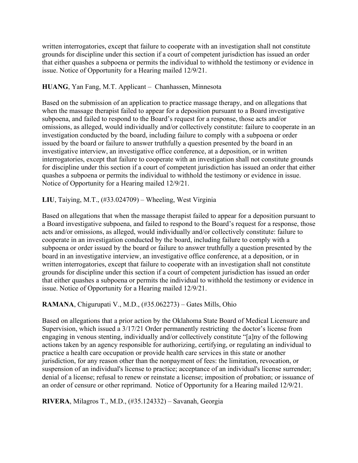written interrogatories, except that failure to cooperate with an investigation shall not constitute grounds for discipline under this section if a court of competent jurisdiction has issued an order that either quashes a subpoena or permits the individual to withhold the testimony or evidence in issue. Notice of Opportunity for a Hearing mailed 12/9/21.

#### **HUANG**, Yan Fang, M.T. Applicant – Chanhassen, Minnesota

Based on the submission of an application to practice massage therapy, and on allegations that when the massage therapist failed to appear for a deposition pursuant to a Board investigative subpoena, and failed to respond to the Board's request for a response, those acts and/or omissions, as alleged, would individually and/or collectively constitute: failure to cooperate in an investigation conducted by the board, including failure to comply with a subpoena or order issued by the board or failure to answer truthfully a question presented by the board in an investigative interview, an investigative office conference, at a deposition, or in written interrogatories, except that failure to cooperate with an investigation shall not constitute grounds for discipline under this section if a court of competent jurisdiction has issued an order that either quashes a subpoena or permits the individual to withhold the testimony or evidence in issue. Notice of Opportunity for a Hearing mailed 12/9/21.

### **LIU**, Taiying, M.T., (#33.024709) – Wheeling, West Virginia

Based on allegations that when the massage therapist failed to appear for a deposition pursuant to a Board investigative subpoena, and failed to respond to the Board's request for a response, those acts and/or omissions, as alleged, would individually and/or collectively constitute: failure to cooperate in an investigation conducted by the board, including failure to comply with a subpoena or order issued by the board or failure to answer truthfully a question presented by the board in an investigative interview, an investigative office conference, at a deposition, or in written interrogatories, except that failure to cooperate with an investigation shall not constitute grounds for discipline under this section if a court of competent jurisdiction has issued an order that either quashes a subpoena or permits the individual to withhold the testimony or evidence in issue. Notice of Opportunity for a Hearing mailed 12/9/21.

### **RAMANA**, Chigurupati V., M.D., (#35.062273) – Gates Mills, Ohio

Based on allegations that a prior action by the Oklahoma State Board of Medical Licensure and Supervision, which issued a 3/17/21 Order permanently restricting the doctor's license from engaging in venous stenting, individually and/or collectively constitute "[a]ny of the following actions taken by an agency responsible for authorizing, certifying, or regulating an individual to practice a health care occupation or provide health care services in this state or another jurisdiction, for any reason other than the nonpayment of fees: the limitation, revocation, or suspension of an individual's license to practice; acceptance of an individual's license surrender; denial of a license; refusal to renew or reinstate a license; imposition of probation; or issuance of an order of censure or other reprimand. Notice of Opportunity for a Hearing mailed 12/9/21.

**RIVERA**, Milagros T., M.D., (#35.124332) – Savanah, Georgia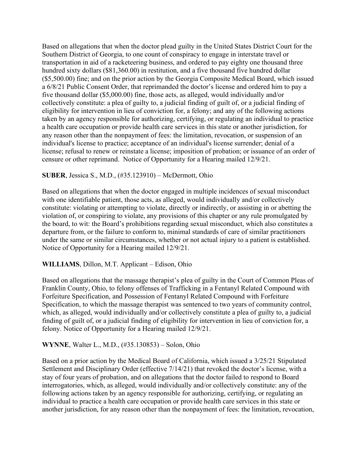Based on allegations that when the doctor plead guilty in the United States District Court for the Southern District of Georgia, to one count of conspiracy to engage in interstate travel or transportation in aid of a racketeering business, and ordered to pay eighty one thousand three hundred sixty dollars (\$81,360.00) in restitution, and a five thousand five hundred dollar (\$5,500.00) fine; and on the prior action by the Georgia Composite Medical Board, which issued a 6/8/21 Public Consent Order, that reprimanded the doctor's license and ordered him to pay a five thousand dollar (\$5,000.00) fine, those acts, as alleged, would individually and/or collectively constitute: a plea of guilty to, a judicial finding of guilt of, or a judicial finding of eligibility for intervention in lieu of conviction for, a felony; and any of the following actions taken by an agency responsible for authorizing, certifying, or regulating an individual to practice a health care occupation or provide health care services in this state or another jurisdiction, for any reason other than the nonpayment of fees: the limitation, revocation, or suspension of an individual's license to practice; acceptance of an individual's license surrender; denial of a license; refusal to renew or reinstate a license; imposition of probation; or issuance of an order of censure or other reprimand. Notice of Opportunity for a Hearing mailed 12/9/21.

### **SUBER**, Jessica S., M.D., (#35.123910) – McDermott, Ohio

Based on allegations that when the doctor engaged in multiple incidences of sexual misconduct with one identifiable patient, those acts, as alleged, would individually and/or collectively constitute: violating or attempting to violate, directly or indirectly, or assisting in or abetting the violation of, or conspiring to violate, any provisions of this chapter or any rule promulgated by the board, to wit: the Board's prohibitions regarding sexual misconduct, which also constitutes a departure from, or the failure to conform to, minimal standards of care of similar practitioners under the same or similar circumstances, whether or not actual injury to a patient is established. Notice of Opportunity for a Hearing mailed 12/9/21.

### **WILLIAMS**, Dillon, M.T. Applicant – Edison, Ohio

Based on allegations that the massage therapist's plea of guilty in the Court of Common Pleas of Franklin County, Ohio, to felony offenses of Trafficking in a Fentanyl Related Compound with Forfeiture Specification, and Possession of Fentanyl Related Compound with Forfeiture Specification, to which the massage therapist was sentenced to two years of community control, which, as alleged, would individually and/or collectively constitute a plea of guilty to, a judicial finding of guilt of, or a judicial finding of eligibility for intervention in lieu of conviction for, a felony. Notice of Opportunity for a Hearing mailed 12/9/21.

### **WYNNE**, Walter L., M.D., (#35.130853) – Solon, Ohio

Based on a prior action by the Medical Board of California, which issued a 3/25/21 Stipulated Settlement and Disciplinary Order (effective 7/14/21) that revoked the doctor's license, with a stay of four years of probation, and on allegations that the doctor failed to respond to Board interrogatories, which, as alleged, would individually and/or collectively constitute: any of the following actions taken by an agency responsible for authorizing, certifying, or regulating an individual to practice a health care occupation or provide health care services in this state or another jurisdiction, for any reason other than the nonpayment of fees: the limitation, revocation,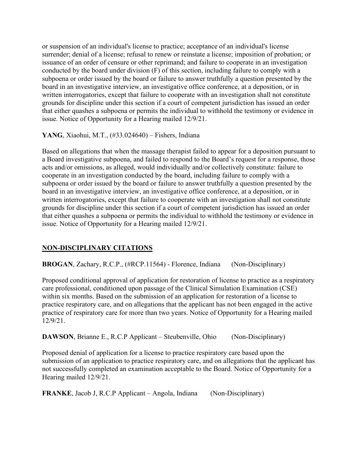or suspension of an individual's license to practice; acceptance of an individual's license surrender; denial of a license; refusal to renew or reinstate a license; imposition of probation; or issuance of an order of censure or other reprimand; and failure to cooperate in an investigation conducted by the board under division (F) of this section, including failure to comply with a subpoena or order issued by the board or failure to answer truthfully a question presented by the board in an investigative interview, an investigative office conference, at a deposition, or in written interrogatories, except that failure to cooperate with an investigation shall not constitute grounds for discipline under this section if a court of competent jurisdiction has issued an order that either quashes a subpoena or permits the individual to withhold the testimony or evidence in issue. Notice of Opportunity for a Hearing mailed 12/9/21.

**YANG**, Xiaohui, M.T., (#33.024640) – Fishers, Indiana

Based on allegations that when the massage therapist failed to appear for a deposition pursuant to a Board investigative subpoena, and failed to respond to the Board's request for a response, those acts and/or omissions, as alleged, would individually and/or collectively constitute: failure to cooperate in an investigation conducted by the board, including failure to comply with a subpoena or order issued by the board or failure to answer truthfully a question presented by the board in an investigative interview, an investigative office conference, at a deposition, or in written interrogatories, except that failure to cooperate with an investigation shall not constitute grounds for discipline under this section if a court of competent jurisdiction has issued an order that either quashes a subpoena or permits the individual to withhold the testimony or evidence in issue. Notice of Opportunity for a Hearing mailed 12/9/21.

# **NON-DISCIPLINARY CITATIONS**

**BROGAN**, Zachary, R.C.P., (#RCP.11564) - Florence, Indiana (Non-Disciplinary)

Proposed conditional approval of application for restoration of license to practice as a respiratory care professional, conditioned upon passage of the Clinical Simulation Examination (CSE) within six months. Based on the submission of an application for restoration of a license to practice respiratory care, and on allegations that the applicant has not been engaged in the active practice of respiratory care for more than two years. Notice of Opportunity for a Hearing mailed 12/9/21.

**DAWSON**, Brianne E., R.C.P Applicant – Steubenville, Ohio (Non-Disciplinary)

Proposed denial of application for a license to practice respiratory care based upon the submission of an application to practice respiratory care, and on allegations that the applicant has not successfully completed an examination acceptable to the Board. Notice of Opportunity for a Hearing mailed 12/9/21.

**FRANKE**, Jacob J, R.C.P Applicant – Angola, Indiana (Non-Disciplinary)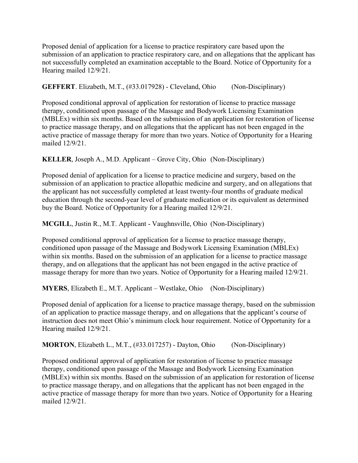Proposed denial of application for a license to practice respiratory care based upon the submission of an application to practice respiratory care, and on allegations that the applicant has not successfully completed an examination acceptable to the Board. Notice of Opportunity for a Hearing mailed 12/9/21.

**GEFFERT**. Elizabeth, M.T., (#33.017928) - Cleveland, Ohio (Non-Disciplinary)

Proposed conditional approval of application for restoration of license to practice massage therapy, conditioned upon passage of the Massage and Bodywork Licensing Examination (MBLEx) within six months. Based on the submission of an application for restoration of license to practice massage therapy, and on allegations that the applicant has not been engaged in the active practice of massage therapy for more than two years. Notice of Opportunity for a Hearing mailed 12/9/21.

**KELLER**, Joseph A., M.D. Applicant – Grove City, Ohio (Non-Disciplinary)

Proposed denial of application for a license to practice medicine and surgery, based on the submission of an application to practice allopathic medicine and surgery, and on allegations that the applicant has not successfully completed at least twenty-four months of graduate medical education through the second-year level of graduate medication or its equivalent as determined buy the Board. Notice of Opportunity for a Hearing mailed 12/9/21.

**MCGILL**, Justin R., M.T. Applicant - Vaughnsville, Ohio (Non-Disciplinary)

Proposed conditional approval of application for a license to practice massage therapy, conditioned upon passage of the Massage and Bodywork Licensing Examination (MBLEx) within six months. Based on the submission of an application for a license to practice massage therapy, and on allegations that the applicant has not been engaged in the active practice of massage therapy for more than two years. Notice of Opportunity for a Hearing mailed 12/9/21.

**MYERS**, Elizabeth E., M.T. Applicant – Westlake, Ohio (Non-Disciplinary)

Proposed denial of application for a license to practice massage therapy, based on the submission of an application to practice massage therapy, and on allegations that the applicant's course of instruction does not meet Ohio's minimum clock hour requirement. Notice of Opportunity for a Hearing mailed 12/9/21.

**MORTON**, Elizabeth L., M.T., (#33.017257) - Dayton, Ohio (Non-Disciplinary)

Proposed onditional approval of application for restoration of license to practice massage therapy, conditioned upon passage of the Massage and Bodywork Licensing Examination (MBLEx) within six months. Based on the submission of an application for restoration of license to practice massage therapy, and on allegations that the applicant has not been engaged in the active practice of massage therapy for more than two years. Notice of Opportunity for a Hearing mailed 12/9/21.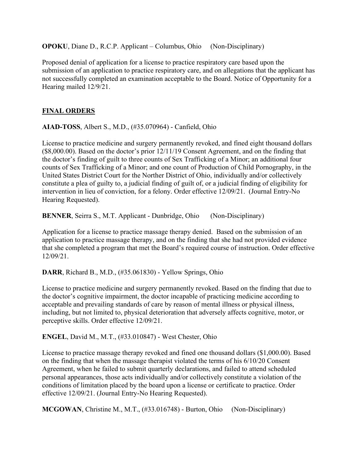**OPOKU**, Diane D., R.C.P. Applicant – Columbus, Ohio (Non-Disciplinary)

Proposed denial of application for a license to practice respiratory care based upon the submission of an application to practice respiratory care, and on allegations that the applicant has not successfully completed an examination acceptable to the Board. Notice of Opportunity for a Hearing mailed 12/9/21.

### **FINAL ORDERS**

**AIAD-TOSS**, Albert S., M.D., (#35.070964) - Canfield, Ohio

License to practice medicine and surgery permanently revoked, and fined eight thousand dollars (\$8,000.00). Based on the doctor's prior 12/11/19 Consent Agreement, and on the finding that the doctor's finding of guilt to three counts of Sex Trafficking of a Minor; an additional four counts of Sex Trafficking of a Minor; and one count of Production of Child Pornography, in the United States District Court for the Norther District of Ohio, individually and/or collectively constitute a plea of guilty to, a judicial finding of guilt of, or a judicial finding of eligibility for intervention in lieu of conviction, for a felony. Order effective 12/09/21. (Journal Entry-No Hearing Requested).

**BENNER**, Seirra S., M.T. Applicant - Dunbridge, Ohio (Non-Disciplinary)

Application for a license to practice massage therapy denied. Based on the submission of an application to practice massage therapy, and on the finding that she had not provided evidence that she completed a program that met the Board's required course of instruction. Order effective 12/09/21.

**DARR**, Richard B., M.D., (#35.061830) - Yellow Springs, Ohio

License to practice medicine and surgery permanently revoked. Based on the finding that due to the doctor's cognitive impairment, the doctor incapable of practicing medicine according to acceptable and prevailing standards of care by reason of mental illness or physical illness, including, but not limited to, physical deterioration that adversely affects cognitive, motor, or perceptive skills. Order effective 12/09/21.

**ENGEL**, David M., M.T., (#33.010847) - West Chester, Ohio

License to practice massage therapy revoked and fined one thousand dollars (\$1,000.00). Based on the finding that when the massage therapist violated the terms of his 6/10/20 Consent Agreement, when he failed to submit quarterly declarations, and failed to attend scheduled personal appearances, those acts individually and/or collectively constitute a violation of the conditions of limitation placed by the board upon a license or certificate to practice. Order effective 12/09/21. (Journal Entry-No Hearing Requested).

**MCGOWAN**, Christine M., M.T., (#33.016748) - Burton, Ohio (Non-Disciplinary)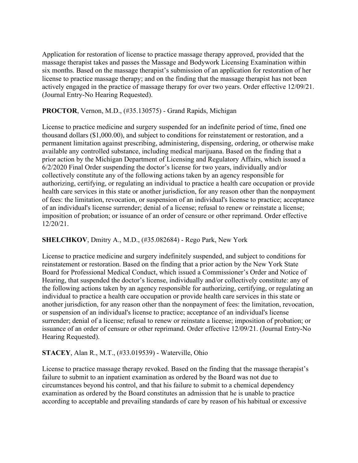Application for restoration of license to practice massage therapy approved, provided that the massage therapist takes and passes the Massage and Bodywork Licensing Examination within six months. Based on the massage therapist's submission of an application for restoration of her license to practice massage therapy; and on the finding that the massage therapist has not been actively engaged in the practice of massage therapy for over two years. Order effective 12/09/21. (Journal Entry-No Hearing Requested).

#### **PROCTOR**, Vernon, M.D., (#35.130575) - Grand Rapids, Michigan

License to practice medicine and surgery suspended for an indefinite period of time, fined one thousand dollars (\$1,000.00), and subject to conditions for reinstatement or restoration, and a permanent limitation against prescribing, administering, dispensing, ordering, or otherwise make available any controlled substance, including medical marijuana. Based on the finding that a prior action by the Michigan Department of Licensing and Regulatory Affairs, which issued a 6/2/2020 Final Order suspending the doctor's license for two years, individually and/or collectively constitute any of the following actions taken by an agency responsible for authorizing, certifying, or regulating an individual to practice a health care occupation or provide health care services in this state or another jurisdiction, for any reason other than the nonpayment of fees: the limitation, revocation, or suspension of an individual's license to practice; acceptance of an individual's license surrender; denial of a license; refusal to renew or reinstate a license; imposition of probation; or issuance of an order of censure or other reprimand. Order effective 12/20/21.

### **SHELCHKOV**, Dmitry A., M.D., (#35.082684) - Rego Park, New York

License to practice medicine and surgery indefinitely suspended, and subject to conditions for reinstatement or restoration. Based on the finding that a prior action by the New York State Board for Professional Medical Conduct, which issued a Commissioner's Order and Notice of Hearing, that suspended the doctor's license, individually and/or collectively constitute: any of the following actions taken by an agency responsible for authorizing, certifying, or regulating an individual to practice a health care occupation or provide health care services in this state or another jurisdiction, for any reason other than the nonpayment of fees: the limitation, revocation, or suspension of an individual's license to practice; acceptance of an individual's license surrender; denial of a license; refusal to renew or reinstate a license; imposition of probation; or issuance of an order of censure or other reprimand. Order effective 12/09/21. (Journal Entry-No Hearing Requested).

### **STACEY**, Alan R., M.T., (#33.019539) - Waterville, Ohio

License to practice massage therapy revoked. Based on the finding that the massage therapist's failure to submit to an inpatient examination as ordered by the Board was not due to circumstances beyond his control, and that his failure to submit to a chemical dependency examination as ordered by the Board constitutes an admission that he is unable to practice according to acceptable and prevailing standards of care by reason of his habitual or excessive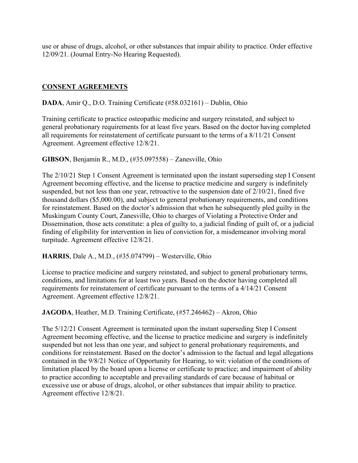use or abuse of drugs, alcohol, or other substances that impair ability to practice. Order effective 12/09/21. (Journal Entry-No Hearing Requested).

### **CONSENT AGREEMENTS**

#### **DADA**, Amir Q., D.O. Training Certificate (#58.032161) – Dublin, Ohio

Training certificate to practice osteopathic medicine and surgery reinstated, and subject to general probationary requirements for at least five years. Based on the doctor having completed all requirements for reinstatement of certificate pursuant to the terms of a 8/11/21 Consent Agreement. Agreement effective 12/8/21.

**GIBSON**, Benjamin R., M.D., (#35.097558) – Zanesville, Ohio

The 2/10/21 Step 1 Consent Agreement is terminated upon the instant superseding step I Consent Agreement becoming effective, and the license to practice medicine and surgery is indefinitely suspended, but not less than one year, retroactive to the suspension date of 2/10/21, fined five thousand dollars (\$5,000.00), and subject to general probationary requirements, and conditions for reinstatement. Based on the doctor's admission that when he subsequently pled guilty in the Muskingum County Court, Zanesville, Ohio to charges of Violating a Protective Order and Dissemination, those acts constitute: a plea of guilty to, a judicial finding of guilt of, or a judicial finding of eligibility for intervention in lieu of conviction for, a misdemeanor involving moral turpitude. Agreement effective 12/8/21.

**HARRIS**, Dale A., M.D., (#35.074799) – Westerville, Ohio

License to practice medicine and surgery reinstated, and subject to general probationary terms, conditions, and limitations for at least two years. Based on the doctor having completed all requirements for reinstatement of certificate pursuant to the terms of a 4/14/21 Consent Agreement. Agreement effective 12/8/21.

**JAGODA**, Heather, M.D. Training Certificate, (#57.246462) – Akron, Ohio

The 5/12/21 Consent Agreement is terminated upon the instant superseding Step I Consent Agreement becoming effective, and the license to practice medicine and surgery is indefinitely suspended but not less than one year, and subject to general probationary requirements, and conditions for reinstatement. Based on the doctor's admission to the factual and legal allegations contained in the 9/8/21 Notice of Opportunity for Hearing, to wit: violation of the conditions of limitation placed by the board upon a license or certificate to practice; and impairment of ability to practice according to acceptable and prevailing standards of care because of habitual or excessive use or abuse of drugs, alcohol, or other substances that impair ability to practice. Agreement effective 12/8/21.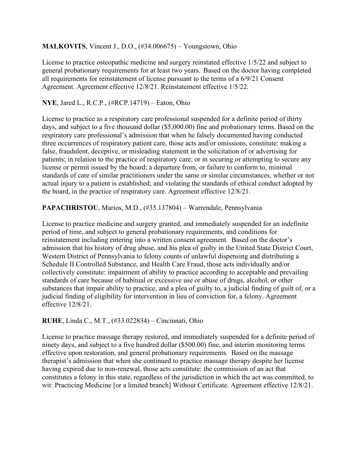### **MALKOVITS**, Vincent J., D.O., (#34.006675) – Youngstown, Ohio

License to practice osteopathic medicine and surgery reinstated effective 1/5/22 and subject to general probationary requirements for at least two years. Based on the doctor having completed all requirements for reinstatement of license pursuant to the terms of a 6/9/21 Consent Agreement. Agreement effective 12/8/21. Reinstatement effective 1/5/22.

### **NYE**, Jared L., R.C.P., (#RCP.14719) – Eaton, Ohio

License to practice as a respiratory care professional suspended for a definite period of thirty days, and subject to a five thousand dollar (\$5,000.00) fine and probationary terms. Based on the respiratory care professional's admission that when he falsely documented having conducted three occurrences of respiratory patient care, those acts and/or omissions, constitute: making a false, fraudulent, deceptive, or misleading statement in the solicitation of or advertising for patients; in relation to the practice of respiratory care; or in securing or attempting to secure any license or permit issued by the board; a departure from, or failure to conform to, minimal standards of care of similar practitioners under the same or similar circumstances, whether or not actual injury to a patient is established; and violating the standards of ethical conduct adopted by the board, in the practice of respiratory care. Agreement effective 12/8/21.

### **PAPACHRISTOU**, Marios, M.D., (#35.137804) – Warrendale, Pennsylvania

License to practice medicine and surgery granted, and immediately suspended for an indefinite period of time, and subject to general probationary requirements, and conditions for reinstatement including entering into a written consent agreement. Based on the doctor's admission that his history of drug abuse, and his plea of guilty in the United State District Court, Western District of Pennsylvania to felony counts of unlawful dispensing and distributing a Schedule II Controlled Substance, and Health Care Fraud, those acts individually and/or collectively constitute: impairment of ability to practice according to acceptable and prevailing standards of care because of habitual or excessive use or abuse of drugs, alcohol, or other substances that impair ability to practice, and a plea of guilty to, a judicial finding of guilt of, or a judicial finding of eligibility for intervention in lieu of conviction for, a felony. Agreement effective 12/8/21.

### **RUHE**, Linda C., M.T., (#33.022834) – Cincinnati, Ohio

License to practice massage therapy restored, and immediately suspended for a definite period of ninety days, and subject to a five hundred dollar (\$500.00) fine, and interim monitoring terms effective upon restoration, and general probationary requirements. Based on the massage therapist's admission that when she continued to practice massage therapy despite her license having expired due to non-renewal, those acts constitute: the commission of an act that constitutes a felony in this state, regardless of the jurisdiction in which the act was committed, to wit: Practicing Medicine [or a limited branch] Without Certificate. Agreement effective 12/8/21.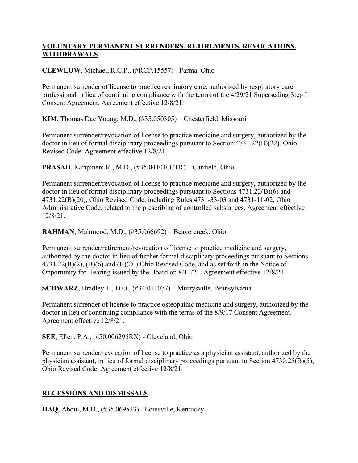### **VOLUNTARY PERMANENT SURRENDERS, RETIREMENTS, REVOCATIONS, WITHDRAWALS**

### **CLEWLOW**, Michael, R.C.P., (#RCP.15557) - Parma, Ohio

Permanent surrender of license to practice respiratory care, authorized by respiratory care professional in lieu of continuing compliance with the terms of the 4/29/21 Superseding Step I Consent Agreement. Agreement effective 12/8/21.

**KIM**, Thomas Dae Young, M.D., (#35.050305) – Chesterfield, Missouri

Permanent surrender/revocation of license to practice medicine and surgery, authorized by the doctor in lieu of formal disciplinary proceedings pursuant to Section 4731.22(B)(22), Ohio Revised Code. Agreement effective 12/8/21.

**PRASAD**, Karipineni R., M.D., (#35.041010CTR) – Canfield, Ohio

Permanent surrender/revocation of license to practice medicine and surgery, authorized by the doctor in lieu of formal disciplinary proceedings pursuant to Sections 4731.22(B)(6) and 4731.22(B)(20), Ohio Revised Code, including Rules 4731-33-03 and 4731-11-02, Ohio Administrative Code, related to the prescribing of controlled substances. Agreement effective 12/8/21.

**RAHMAN**, Mahmood, M.D., (#35.066692) – Beavercreek, Ohio

Permanent surrender/retirement/revocation of license to practice medicine and surgery, authorized by the doctor in lieu of further formal disciplinary proceedings pursuant to Sections 4731.22(B)(2), (B)(6) and (B)(20) Ohio Revised Code, and as set forth in the Notice of Opportunity for Hearing issued by the Board on 8/11/21. Agreement effective 12/8/21.

**SCHWARZ**, Bradley T., D.O., (#34.011077) – Murrysville, Pennsylvania

Permanent surrender of license to practice osteopathic medicine and surgery, authorized by the doctor in lieu of continuing compliance with the terms of the 8/9/17 Consent Agreement. Agreement effective 12/8/21.

**SEE**, Ellen, P.A., (#50.006295RX) - Cleveland, Ohio

Permanent surrender/revocation of license to practice as a physician assistant, authorized by the physician assistant, in lieu of formal disciplinary proceedings pursuant to Section 4730.25(B)(5), Ohio Revised Code. Agreement effective 12/8/21.

# **RECESSIONS AND DISMISSALS**

**HAQ**, Abdul, M.D., (#35.069523) - Louisville, Kentucky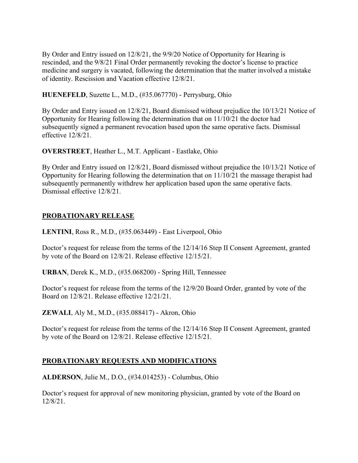By Order and Entry issued on 12/8/21, the 9/9/20 Notice of Opportunity for Hearing is rescinded, and the 9/8/21 Final Order permanently revoking the doctor's license to practice medicine and surgery is vacated, following the determination that the matter involved a mistake of identity. Rescission and Vacation effective 12/8/21.

**HUENEFELD**, Suzette L., M.D., (#35.067770) - Perrysburg, Ohio

By Order and Entry issued on 12/8/21, Board dismissed without prejudice the 10/13/21 Notice of Opportunity for Hearing following the determination that on 11/10/21 the doctor had subsequently signed a permanent revocation based upon the same operative facts. Dismissal effective 12/8/21.

**OVERSTREET**, Heather L., M.T. Applicant - Eastlake, Ohio

By Order and Entry issued on 12/8/21, Board dismissed without prejudice the 10/13/21 Notice of Opportunity for Hearing following the determination that on 11/10/21 the massage therapist had subsequently permanently withdrew her application based upon the same operative facts. Dismissal effective 12/8/21.

# **PROBATIONARY RELEASE**

**LENTINI**, Ross R., M.D., (#35.063449) - East Liverpool, Ohio

Doctor's request for release from the terms of the 12/14/16 Step II Consent Agreement, granted by vote of the Board on 12/8/21. Release effective 12/15/21.

**URBAN**, Derek K., M.D., (#35.068200) - Spring Hill, Tennessee

Doctor's request for release from the terms of the 12/9/20 Board Order, granted by vote of the Board on 12/8/21. Release effective 12/21/21.

**ZEWALI**, Aly M., M.D., (#35.088417) - Akron, Ohio

Doctor's request for release from the terms of the 12/14/16 Step II Consent Agreement, granted by vote of the Board on 12/8/21. Release effective 12/15/21.

# **PROBATIONARY REQUESTS AND MODIFICATIONS**

**ALDERSON**, Julie M., D.O., (#34.014253) - Columbus, Ohio

Doctor's request for approval of new monitoring physician, granted by vote of the Board on 12/8/21.